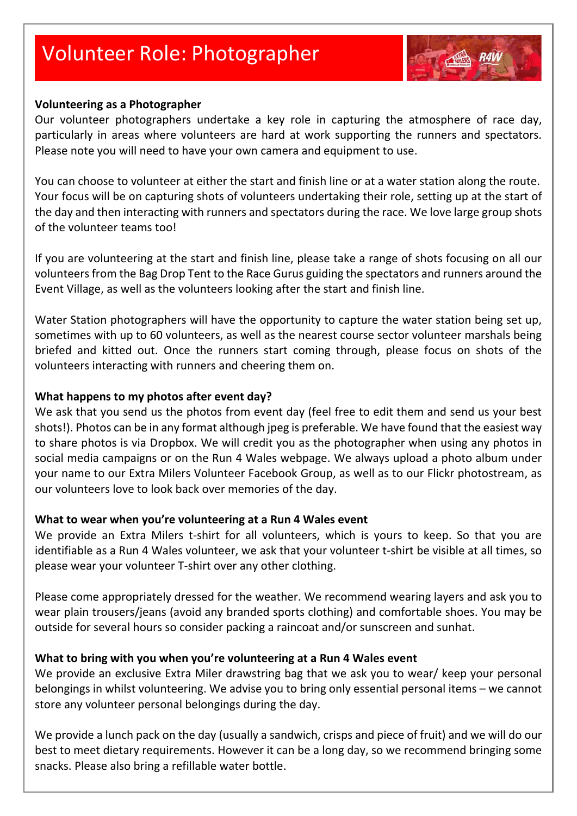# Volunteer Role: Photographer



#### **Volunteering as a Photographer**

Our volunteer photographers undertake a key role in capturing the atmosphere of race day, particularly in areas where volunteers are hard at work supporting the runners and spectators. Please note you will need to have your own camera and equipment to use.

You can choose to volunteer at either the start and finish line or at a water station along the route. Your focus will be on capturing shots of volunteers undertaking their role, setting up at the start of the day and then interacting with runners and spectators during the race. We love large group shots of the volunteer teams too!

If you are volunteering at the start and finish line, please take a range of shots focusing on all our volunteers from the Bag Drop Tent to the Race Gurus guiding the spectators and runners around the Event Village, as well as the volunteers looking after the start and finish line.

Water Station photographers will have the opportunity to capture the water station being set up, sometimes with up to 60 volunteers, as well as the nearest course sector volunteer marshals being briefed and kitted out. Once the runners start coming through, please focus on shots of the volunteers interacting with runners and cheering them on.

#### **What happens to my photos after event day?**

We ask that you send us the photos from event day (feel free to edit them and send us your best shots!). Photos can be in any format although jpeg is preferable. We have found that the easiest way to share photos is via Dropbox. We will credit you as the photographer when using any photos in social media campaigns or on the Run 4 Wales webpage. We always upload a photo album under your name to our Extra Milers Volunteer Facebook Group, as well as to our Flickr photostream, as our volunteers love to look back over memories of the day.

#### **What to wear when you're volunteering at a Run 4 Wales event**

We provide an Extra Milers t-shirt for all volunteers, which is yours to keep. So that you are identifiable as a Run 4 Wales volunteer, we ask that your volunteer t-shirt be visible at all times, so please wear your volunteer T-shirt over any other clothing.

Please come appropriately dressed for the weather. We recommend wearing layers and ask you to wear plain trousers/jeans (avoid any branded sports clothing) and comfortable shoes. You may be outside for several hours so consider packing a raincoat and/or sunscreen and sunhat.

#### **What to bring with you when you're volunteering at a Run 4 Wales event**

We provide an exclusive Extra Miler drawstring bag that we ask you to wear/ keep your personal belongings in whilst volunteering. We advise you to bring only essential personal items – we cannot store any volunteer personal belongings during the day.

We provide a lunch pack on the day (usually a sandwich, crisps and piece of fruit) and we will do our best to meet dietary requirements. However it can be a long day, so we recommend bringing some snacks. Please also bring a refillable water bottle.